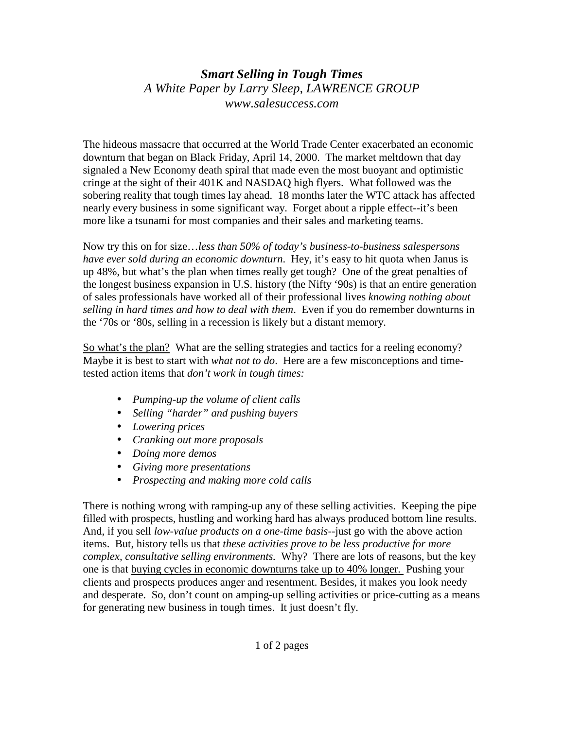## *Smart Selling in Tough Times A White Paper by Larry Sleep, LAWRENCE GROUP www.salesuccess.com*

The hideous massacre that occurred at the World Trade Center exacerbated an economic downturn that began on Black Friday, April 14, 2000. The market meltdown that day signaled a New Economy death spiral that made even the most buoyant and optimistic cringe at the sight of their 401K and NASDAQ high flyers. What followed was the sobering reality that tough times lay ahead. 18 months later the WTC attack has affected nearly every business in some significant way. Forget about a ripple effect--it's been more like a tsunami for most companies and their sales and marketing teams.

Now try this on for size…*less than 50% of today's business-to-business salespersons have ever sold during an economic downturn*. Hey, it's easy to hit quota when Janus is up 48%, but what's the plan when times really get tough? One of the great penalties of the longest business expansion in U.S. history (the Nifty '90s) is that an entire generation of sales professionals have worked all of their professional lives *knowing nothing about selling in hard times and how to deal with them*. Even if you do remember downturns in the '70s or '80s, selling in a recession is likely but a distant memory.

So what's the plan? What are the selling strategies and tactics for a reeling economy? Maybe it is best to start with *what not to do*. Here are a few misconceptions and timetested action items that *don't work in tough times:* 

- *Pumping-up the volume of client calls*
- *Selling "harder" and pushing buyers*
- *Lowering prices*
- *Cranking out more proposals*
- *Doing more demos*
- *Giving more presentations*
- *Prospecting and making more cold calls*

There is nothing wrong with ramping-up any of these selling activities. Keeping the pipe filled with prospects, hustling and working hard has always produced bottom line results. And, if you sell *low-value products on a one-time basis*--just go with the above action items. But, history tells us that *these activities prove to be less productive for more complex, consultative selling environments.* Why? There are lots of reasons, but the key one is that buying cycles in economic downturns take up to 40% longer. Pushing your clients and prospects produces anger and resentment. Besides, it makes you look needy and desperate. So, don't count on amping-up selling activities or price-cutting as a means for generating new business in tough times. It just doesn't fly.